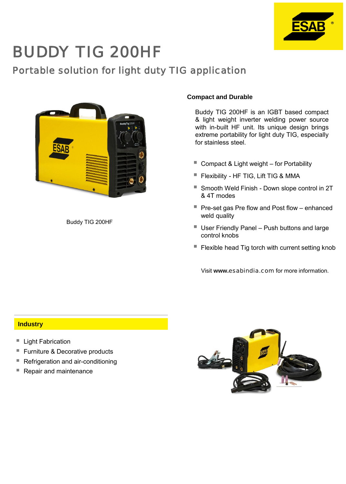

# BUDDY TIG 200HF

# Portable solution for light duty TIG application



Buddy TIG 200HF

## **Compact and Durable**

Buddy TIG 200HF is an IGBT based compact & light weight inverter welding power source with in-built HF unit. Its unique design brings extreme portability for light duty TIG, especially for stainless steel.

- Compact & Light weight for Portability
- **Filexibility HF TIG, Lift TIG & MMA**
- Smooth Weld Finish Down slope control in 2T & 4T modes
- Pre-set gas Pre flow and Post flow enhanced weld quality
- User Friendly Panel Push buttons and large control knobs
- Flexible head Tig torch with current setting knob

Visit **www.**esabindia.com for more information.

#### **Industry**

- Light Fabrication
- Furniture & Decorative products
- Refrigeration and air-conditioning
- Repair and maintenance